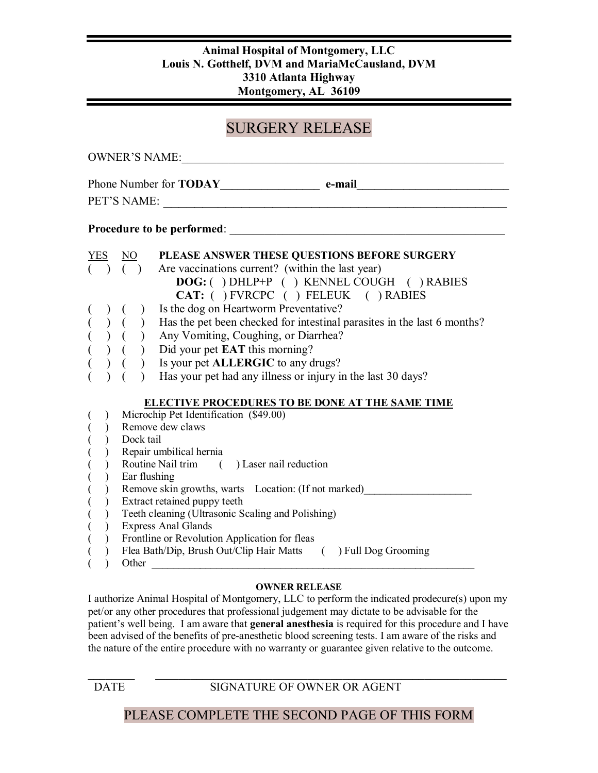### **Animal Hospital of Montgomery, LLC Louis N. Gotthelf, DVM and MariaMcCausland, DVM 3310 Atlanta Highway Montgomery, AL 36109**

# SURGERY RELEASE

| <b>OWNER'S NAME:</b>                                                                                                                           |                                                                                                                                                                                                                                                                                                                                                                                                                                                                                                                                                                                                                                                                                                                                                          |                 |                                                                                                                                                                                                                                                                                                                                                                                                                                                           |
|------------------------------------------------------------------------------------------------------------------------------------------------|----------------------------------------------------------------------------------------------------------------------------------------------------------------------------------------------------------------------------------------------------------------------------------------------------------------------------------------------------------------------------------------------------------------------------------------------------------------------------------------------------------------------------------------------------------------------------------------------------------------------------------------------------------------------------------------------------------------------------------------------------------|-----------------|-----------------------------------------------------------------------------------------------------------------------------------------------------------------------------------------------------------------------------------------------------------------------------------------------------------------------------------------------------------------------------------------------------------------------------------------------------------|
| Phone Number for <b>TODAY</b> e-mail<br>PET'S NAME:<br><u> 1980 - Jan Barnett, martin de filozof</u>                                           |                                                                                                                                                                                                                                                                                                                                                                                                                                                                                                                                                                                                                                                                                                                                                          |                 |                                                                                                                                                                                                                                                                                                                                                                                                                                                           |
| <b>Procedure to be performed:</b>                                                                                                              |                                                                                                                                                                                                                                                                                                                                                                                                                                                                                                                                                                                                                                                                                                                                                          |                 |                                                                                                                                                                                                                                                                                                                                                                                                                                                           |
| <b>YES</b>                                                                                                                                     |                                                                                                                                                                                                                                                                                                                                                                                                                                                                                                                                                                                                                                                                                                                                                          | $\overline{NO}$ | PLEASE ANSWER THESE QUESTIONS BEFORE SURGERY                                                                                                                                                                                                                                                                                                                                                                                                              |
|                                                                                                                                                |                                                                                                                                                                                                                                                                                                                                                                                                                                                                                                                                                                                                                                                                                                                                                          | $( )$ $( )$     | Are vaccinations current? (within the last year)<br><b>DOG:</b> () DHLP+P () KENNEL COUGH () RABIES<br>CAT: ( ) FVRCPC ( ) FELEUK ( ) RABIES<br>(b) (c) is the dog on Heartworm Preventative?<br>(c) (c) Has the pet been checked for intestinal parasites in the last 6 months?<br>(c) (c) Any Vomiting, Coughing, or Diarrhea?<br>(c) (c) Did your pet <b>EAT</b> this morning?<br>(c) (<br>Has your pet had any illness or injury in the last 30 days? |
| $($<br>$\begin{array}{c} ($<br>$($<br>$\big($<br>$\big($<br>$\overline{(\ }$<br>$\overline{(\ }$<br>$\binom{1}{1}$<br>$\overline{\mathcal{L}}$ | <b>ELECTIVE PROCEDURES TO BE DONE AT THE SAME TIME</b><br>Microchip Pet Identification (\$49.00)<br>Remove dew claws<br>Dock tail<br>Repair umbilical hernia<br>Routine Nail trim () Laser nail reduction<br>Ear flushing<br>Remove skin growths, warts Location: (If not marked)<br>Extract retained puppy teeth<br>Teeth cleaning (Ultrasonic Scaling and Polishing)<br><b>Express Anal Glands</b><br>Frontline or Revolution Application for fleas<br>Flea Bath/Dip, Brush Out/Clip Hair Matts () Full Dog Grooming<br>Other than the contract of the contract of the contract of the contract of the contract of the contract of the contract of the contract of the contract of the contract of the contract of the contract of the contract of the |                 |                                                                                                                                                                                                                                                                                                                                                                                                                                                           |

#### **OWNER RELEASE**

I authorize Animal Hospital of Montgomery, LLC to perform the indicated prodecure(s) upon my pet/or any other procedures that professional judgement may dictate to be advisable for the patient's well being. I am aware that **general anesthesia** is required for this procedure and I have been advised of the benefits of pre-anesthetic blood screening tests. I am aware of the risks and the nature of the entire procedure with no warranty or guarantee given relative to the outcome.

 $\mathcal{L}_\text{max} = \mathcal{L}_\text{max} = \mathcal{L}_\text{max} = \mathcal{L}_\text{max} = \mathcal{L}_\text{max} = \mathcal{L}_\text{max} = \mathcal{L}_\text{max} = \mathcal{L}_\text{max} = \mathcal{L}_\text{max} = \mathcal{L}_\text{max} = \mathcal{L}_\text{max} = \mathcal{L}_\text{max} = \mathcal{L}_\text{max} = \mathcal{L}_\text{max} = \mathcal{L}_\text{max} = \mathcal{L}_\text{max} = \mathcal{L}_\text{max} = \mathcal{L}_\text{max} = \mathcal{$ DATE SIGNATURE OF OWNER OR AGENT

## PLEASE COMPLETE THE SECOND PAGE OF THIS FORM